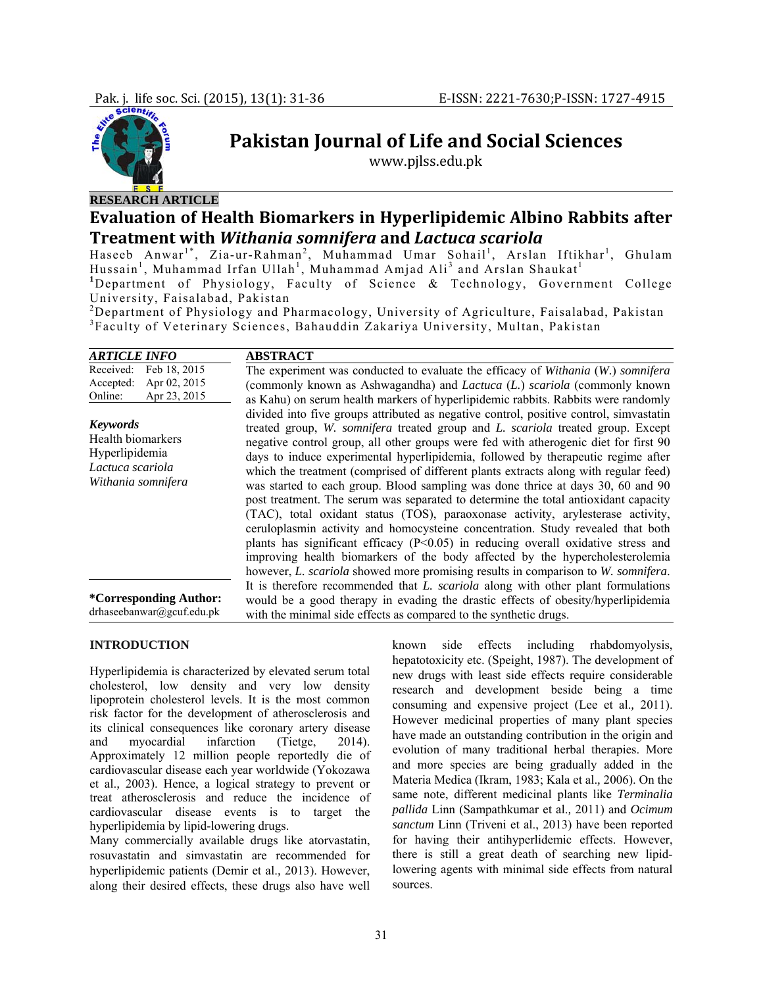

# **Pakistan Journal of Life and Social Sciences**

www.pjlss.edu.pk

# **RESEARCH ARTICLE Evaluation of Health Biomarkers in Hyperlipidemic Albino Rabbits after**

# **Treatment with** *Withania somnifera* **and** *Lactuca scariola*

Haseeb Anwar<sup>1\*</sup>, Zia-ur-Rahman<sup>2</sup>, Muhammad Umar Sohail<sup>1</sup>, Arslan Iftikhar<sup>1</sup>, Ghulam Hussain<sup>1</sup>, Muhammad Irfan Ullah<sup>1</sup>, Muhammad Amjad Ali<sup>3</sup> and Arslan Shaukat<sup>1</sup> <sup>1</sup>Department of Physiology, Faculty of Science & Technology, Government College

University, Faisalabad, Pakistan

<sup>2</sup>Department of Physiology and Pharmacology, University of Agriculture, Faisalabad, Pakistan 3<br><sup>3</sup>Eesylty of Veterinary Seisness, Behauddin Zeksriye University, Multan Bekistan Faculty of Veterinary Sciences, Bahauddin Zakariya University, Multan, Pakistan

| <i><b>ARTICLE INFO</b></i>                                                                       | <b>ABSTRACT</b>                                                                                                                                                                                                                                                                                                                                                                                                                                                                                                                                                                                                                                                                                                                                                                                                                                                                                                                                                                                                                                           |
|--------------------------------------------------------------------------------------------------|-----------------------------------------------------------------------------------------------------------------------------------------------------------------------------------------------------------------------------------------------------------------------------------------------------------------------------------------------------------------------------------------------------------------------------------------------------------------------------------------------------------------------------------------------------------------------------------------------------------------------------------------------------------------------------------------------------------------------------------------------------------------------------------------------------------------------------------------------------------------------------------------------------------------------------------------------------------------------------------------------------------------------------------------------------------|
| Received:<br>Feb 18, 2015<br>Apr 02, 2015<br>Accepted:<br>Online:<br>Apr 23, 2015                | The experiment was conducted to evaluate the efficacy of Withania (W.) somnifera<br>(commonly known as Ashwagandha) and <i>Lactuca</i> ( <i>L.</i> ) <i>scariola</i> (commonly known<br>as Kahu) on serum health markers of hyperlipidemic rabbits. Rabbits were randomly                                                                                                                                                                                                                                                                                                                                                                                                                                                                                                                                                                                                                                                                                                                                                                                 |
| <b>Keywords</b><br>Health biomarkers<br>Hyperlipidemia<br>Lactuca scariola<br>Withania somnifera | divided into five groups attributed as negative control, positive control, simvastatin<br>treated group, W. somnifera treated group and L. scariola treated group. Except<br>negative control group, all other groups were fed with atherogenic diet for first 90<br>days to induce experimental hyperlipidemia, followed by therapeutic regime after<br>which the treatment (comprised of different plants extracts along with regular feed)<br>was started to each group. Blood sampling was done thrice at days 30, 60 and 90<br>post treatment. The serum was separated to determine the total antioxidant capacity<br>(TAC), total oxidant status (TOS), paraoxonase activity, arylesterase activity,<br>ceruloplasmin activity and homocysteine concentration. Study revealed that both<br>plants has significant efficacy $(P<0.05)$ in reducing overall oxidative stress and<br>improving health biomarkers of the body affected by the hypercholesterolemia<br>however, L. scariola showed more promising results in comparison to W. somnifera. |
| <i>*</i> Corresponding Author:<br>drhaseebanwar@gcuf.edu.pk                                      | It is therefore recommended that L. scariola along with other plant formulations<br>would be a good therapy in evading the drastic effects of obesity/hyperlipidemia<br>with the minimal side effects as compared to the synthetic drugs.                                                                                                                                                                                                                                                                                                                                                                                                                                                                                                                                                                                                                                                                                                                                                                                                                 |

#### **INTRODUCTION**

Hyperlipidemia is characterized by elevated serum total cholesterol, low density and very low density lipoprotein cholesterol levels. It is the most common risk factor for the development of atherosclerosis and its clinical consequences like coronary artery disease and myocardial infarction (Tietge, 2014). Approximately 12 million people reportedly die of cardiovascular disease each year worldwide (Yokozawa et al.*,* 2003). Hence, a logical strategy to prevent or treat atherosclerosis and reduce the incidence of cardiovascular disease events is to target the hyperlipidemia by lipid-lowering drugs.

Many commercially available drugs like atorvastatin, rosuvastatin and simvastatin are recommended for hyperlipidemic patients (Demir et al.*,* 2013). However, along their desired effects, these drugs also have well

known side effects including rhabdomyolysis, hepatotoxicity etc. (Speight, 1987). The development of new drugs with least side effects require considerable research and development beside being a time consuming and expensive project (Lee et al.*,* 2011). However medicinal properties of many plant species have made an outstanding contribution in the origin and evolution of many traditional herbal therapies. More and more species are being gradually added in the Materia Medica (Ikram, 1983; Kala et al.*,* 2006). On the same note, different medicinal plants like *Terminalia pallida* Linn (Sampathkumar et al.*,* 2011) and *Ocimum sanctum* Linn (Triveni et al., 2013) have been reported for having their antihyperlidemic effects. However, there is still a great death of searching new lipidlowering agents with minimal side effects from natural sources.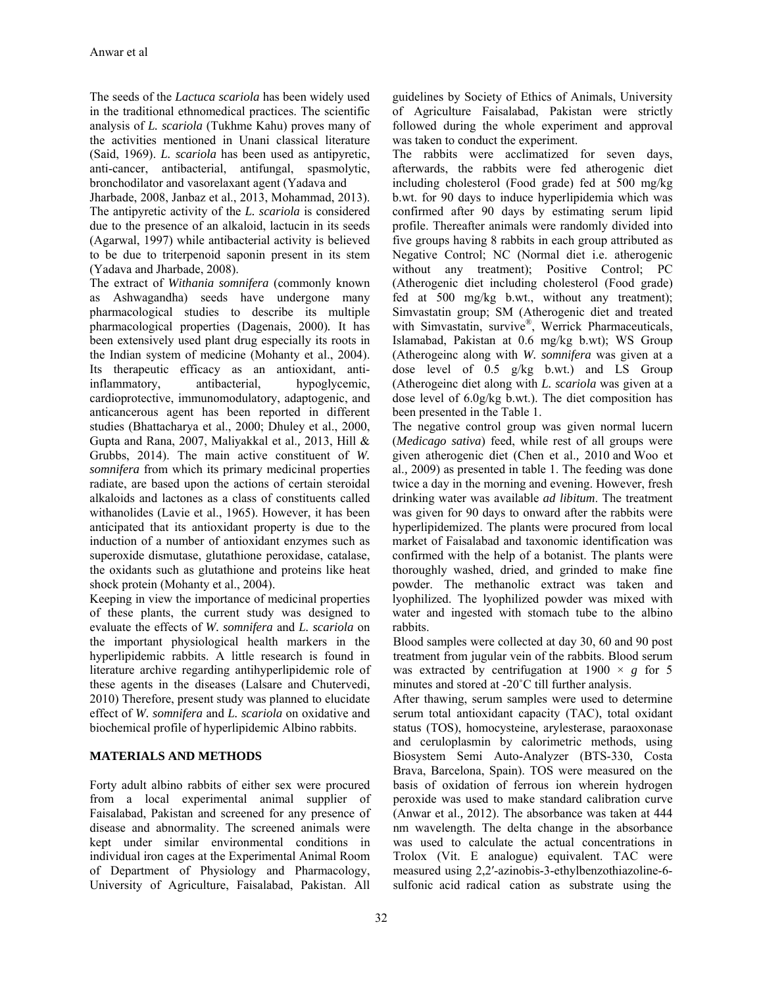The seeds of the *Lactuca scariola* has been widely used in the traditional ethnomedical practices. The scientific analysis of *L. scariola* (Tukhme Kahu) proves many of the activities mentioned in Unani classical literature (Said, 1969). *L. scariola* has been used as antipyretic, anti-cancer, antibacterial, antifungal, spasmolytic, bronchodilator and vasorelaxant agent (Yadava and

Jharbade, 2008, Janbaz et al., 2013, Mohammad, 2013). The antipyretic activity of the *L. scariola* is considered due to the presence of an alkaloid, lactucin in its seeds (Agarwal, 1997) while antibacterial activity is believed to be due to triterpenoid saponin present in its stem (Yadava and Jharbade, 2008).

The extract of *Withania somnifera* (commonly known as Ashwagandha) seeds have undergone many pharmacological studies to describe its multiple pharmacological properties (Dagenais, 2000)*.* It has been extensively used plant drug especially its roots in the Indian system of medicine (Mohanty et al., 2004). Its therapeutic efficacy as an antioxidant, antiinflammatory, antibacterial, hypoglycemic, cardioprotective, immunomodulatory, adaptogenic, and anticancerous agent has been reported in different studies (Bhattacharya et al., 2000; Dhuley et al., 2000, Gupta and Rana, 2007, Maliyakkal et al.*,* 2013, Hill & Grubbs, 2014). The main active constituent of *W. somnifera* from which its primary medicinal properties radiate, are based upon the actions of certain steroidal alkaloids and lactones as a class of constituents called withanolides (Lavie et al., 1965). However, it has been anticipated that its antioxidant property is due to the induction of a number of antioxidant enzymes such as superoxide dismutase, glutathione peroxidase, catalase, the oxidants such as glutathione and proteins like heat shock protein (Mohanty et al., 2004).

Keeping in view the importance of medicinal properties of these plants, the current study was designed to evaluate the effects of *W. somnifera* and *L. scariola* on the important physiological health markers in the hyperlipidemic rabbits. A little research is found in literature archive regarding antihyperlipidemic role of these agents in the diseases (Lalsare and Chutervedi, 2010) Therefore, present study was planned to elucidate effect of *W. somnifera* and *L. scariola* on oxidative and biochemical profile of hyperlipidemic Albino rabbits.

## **MATERIALS AND METHODS**

Forty adult albino rabbits of either sex were procured from a local experimental animal supplier of Faisalabad, Pakistan and screened for any presence of disease and abnormality. The screened animals were kept under similar environmental conditions in individual iron cages at the Experimental Animal Room of Department of Physiology and Pharmacology, University of Agriculture, Faisalabad, Pakistan. All

guidelines by Society of Ethics of Animals, University of Agriculture Faisalabad, Pakistan were strictly followed during the whole experiment and approval was taken to conduct the experiment.

The rabbits were acclimatized for seven days, afterwards, the rabbits were fed atherogenic diet including cholesterol (Food grade) fed at 500 mg/kg b.wt. for 90 days to induce hyperlipidemia which was confirmed after 90 days by estimating serum lipid profile. Thereafter animals were randomly divided into five groups having 8 rabbits in each group attributed as Negative Control; NC (Normal diet i.e. atherogenic without any treatment); Positive Control; PC (Atherogenic diet including cholesterol (Food grade) fed at 500 mg/kg b.wt., without any treatment); Simvastatin group; SM (Atherogenic diet and treated with Simvastatin, survive®, Werrick Pharmaceuticals, Islamabad, Pakistan at 0.6 mg/kg b.wt); WS Group (Atherogeinc along with *W. somnifera* was given at a dose level of 0.5 g/kg b.wt.) and LS Group (Atherogeinc diet along with *L. scariola* was given at a dose level of 6.0g/kg b.wt.). The diet composition has been presented in the Table 1.

The negative control group was given normal lucern (*Medicago sativa*) feed, while rest of all groups were given atherogenic diet (Chen et al.*,* 2010 and Woo et al.*,* 2009) as presented in table 1. The feeding was done twice a day in the morning and evening. However, fresh drinking water was available *ad libitum*. The treatment was given for 90 days to onward after the rabbits were hyperlipidemized. The plants were procured from local market of Faisalabad and taxonomic identification was confirmed with the help of a botanist. The plants were thoroughly washed, dried, and grinded to make fine powder. The methanolic extract was taken and lyophilized. The lyophilized powder was mixed with water and ingested with stomach tube to the albino rabbits.

Blood samples were collected at day 30, 60 and 90 post treatment from jugular vein of the rabbits. Blood serum was extracted by centrifugation at  $1900 \times g$  for 5 minutes and stored at -20˚C till further analysis.

After thawing, serum samples were used to determine serum total antioxidant capacity (TAC), total oxidant status (TOS), homocysteine, arylesterase, paraoxonase and ceruloplasmin by calorimetric methods, using Biosystem Semi Auto-Analyzer (BTS-330, Costa Brava, Barcelona, Spain). TOS were measured on the basis of oxidation of ferrous ion wherein hydrogen peroxide was used to make standard calibration curve (Anwar et al.*,* 2012). The absorbance was taken at 444 nm wavelength. The delta change in the absorbance was used to calculate the actual concentrations in Trolox (Vit. E analogue) equivalent. TAC were measured using 2,2′-azinobis-3-ethylbenzothiazoline-6 sulfonic acid radical cation as substrate using the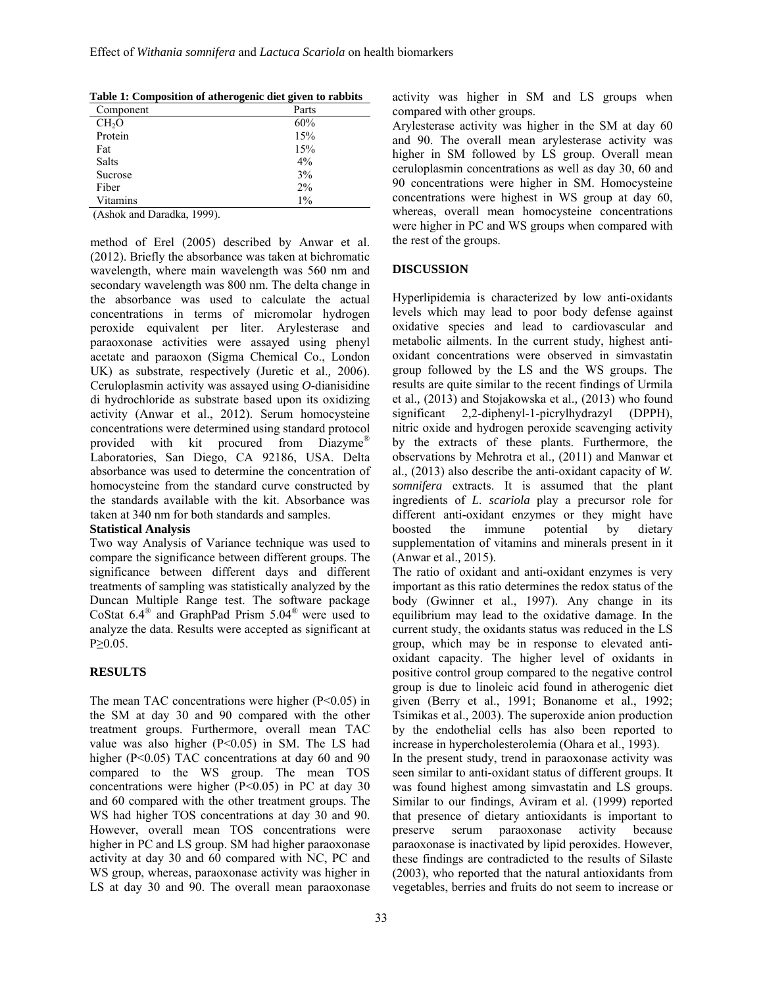| Component         | Parts |
|-------------------|-------|
| CH <sub>2</sub> O | 60%   |
| Protein           | 15%   |
| Fat               | 15%   |
| Salts             | 4%    |
| Sucrose           | 3%    |
| Fiber             | 2%    |
| Vitamins          | $1\%$ |

(Ashok and Daradka, 1999).

method of Erel (2005) described by Anwar et al. (2012). Briefly the absorbance was taken at bichromatic wavelength, where main wavelength was 560 nm and secondary wavelength was 800 nm. The delta change in the absorbance was used to calculate the actual concentrations in terms of micromolar hydrogen peroxide equivalent per liter. Arylesterase and paraoxonase activities were assayed using phenyl acetate and paraoxon (Sigma Chemical Co., London UK) as substrate, respectively (Juretic et al.*,* 2006). Ceruloplasmin activity was assayed using *O-*dianisidine di hydrochloride as substrate based upon its oxidizing activity (Anwar et al., 2012). Serum homocysteine concentrations were determined using standard protocol provided with kit procured from Diazyme® Laboratories, San Diego, CA 92186, USA. Delta absorbance was used to determine the concentration of homocysteine from the standard curve constructed by the standards available with the kit. Absorbance was taken at 340 nm for both standards and samples. **Statistical Analysis** 

Two way Analysis of Variance technique was used to compare the significance between different groups. The significance between different days and different treatments of sampling was statistically analyzed by the Duncan Multiple Range test. The software package CoStat 6.4® and GraphPad Prism 5.04® were used to analyze the data. Results were accepted as significant at

#### **RESULTS**

P≥0.05.

The mean TAC concentrations were higher  $(P<0.05)$  in the SM at day 30 and 90 compared with the other treatment groups. Furthermore, overall mean TAC value was also higher (P<0.05) in SM. The LS had higher (P<0.05) TAC concentrations at day 60 and 90 compared to the WS group. The mean TOS concentrations were higher (P<0.05) in PC at day 30 and 60 compared with the other treatment groups. The WS had higher TOS concentrations at day 30 and 90. However, overall mean TOS concentrations were higher in PC and LS group. SM had higher paraoxonase activity at day 30 and 60 compared with NC, PC and WS group, whereas, paraoxonase activity was higher in LS at day 30 and 90. The overall mean paraoxonase

activity was higher in SM and LS groups when compared with other groups.

Arylesterase activity was higher in the SM at day 60 and 90. The overall mean arylesterase activity was higher in SM followed by LS group. Overall mean ceruloplasmin concentrations as well as day 30, 60 and 90 concentrations were higher in SM. Homocysteine concentrations were highest in WS group at day 60, whereas, overall mean homocysteine concentrations were higher in PC and WS groups when compared with the rest of the groups.

#### **DISCUSSION**

Hyperlipidemia is characterized by low anti-oxidants levels which may lead to poor body defense against oxidative species and lead to cardiovascular and metabolic ailments. In the current study, highest antioxidant concentrations were observed in simvastatin group followed by the LS and the WS groups. The results are quite similar to the recent findings of Urmila et al.*,* (2013) and Stojakowska et al.*,* (2013) who found significant 2,2-diphenyl-1-picrylhydrazyl (DPPH), nitric oxide and hydrogen peroxide scavenging activity by the extracts of these plants. Furthermore, the observations by Mehrotra et al.*,* (2011) and Manwar et al.*,* (2013) also describe the anti-oxidant capacity of *W. somnifera* extracts. It is assumed that the plant ingredients of *L. scariola* play a precursor role for different anti-oxidant enzymes or they might have boosted the immune potential by dietary supplementation of vitamins and minerals present in it (Anwar et al.*,* 2015).

The ratio of oxidant and anti-oxidant enzymes is very important as this ratio determines the redox status of the body (Gwinner et al., 1997). Any change in its equilibrium may lead to the oxidative damage. In the current study, the oxidants status was reduced in the LS group, which may be in response to elevated antioxidant capacity. The higher level of oxidants in positive control group compared to the negative control group is due to linoleic acid found in atherogenic diet given (Berry et al., 1991; Bonanome et al., 1992; Tsimikas et al.*,* 2003). The superoxide anion production by the endothelial cells has also been reported to increase in hypercholesterolemia (Ohara et al., 1993).

In the present study, trend in paraoxonase activity was seen similar to anti-oxidant status of different groups. It was found highest among simvastatin and LS groups. Similar to our findings, Aviram et al. (1999) reported that presence of dietary antioxidants is important to preserve serum paraoxonase activity because paraoxonase is inactivated by lipid peroxides. However, these findings are contradicted to the results of Silaste (2003), who reported that the natural antioxidants from vegetables, berries and fruits do not seem to increase or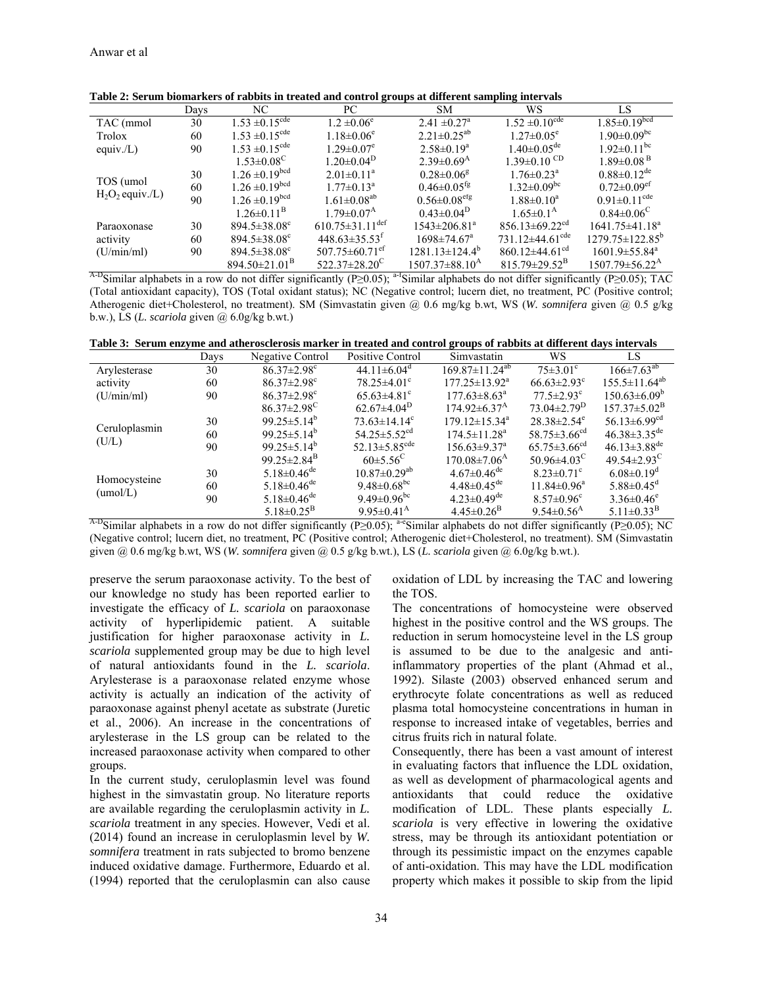|                                 | Days | NC                             | PC.                               | SM.                            | WS                                | LS                               |
|---------------------------------|------|--------------------------------|-----------------------------------|--------------------------------|-----------------------------------|----------------------------------|
| TAC (mmol                       | 30   | $1.53 \pm 0.15^{\text{cde}}$   | $1.2 \pm 0.06^e$                  | $2.41 \pm 0.27$ <sup>a</sup>   | $1.52 \pm 0.10^{\text{cde}}$      | $1.85 \pm 0.19^{bcd}$            |
| Trolox                          | 60   | $1.53 \pm 0.15^{\text{cde}}$   | $1.18 \pm 0.06^e$                 | $2.21 \pm 0.25^{ab}$           | $1.27 \pm 0.05^e$                 | $1.90 \pm 0.09$ <sup>bc</sup>    |
| equiv./L)                       | 90   | $1.53 \pm 0.15^{\text{cde}}$   | $1.29 \pm 0.07$ <sup>e</sup>      | $2.58 \pm 0.19^a$              | $1.40 \pm 0.05$ <sup>de</sup>     | $1.92 \pm 0.11$ <sup>bc</sup>    |
|                                 |      | $1.53 \pm 0.08^{\circ}$        | $1.20 \pm 0.04^{\rm D}$           | $2.39\pm0.69^{\rm A}$          | $1.39 \pm 0.10$ CD                | $1.89 \pm 0.08$ <sup>B</sup>     |
| TOS (umol<br>$H_2O_2$ equiv./L) | 30   | $1.26 \pm 0.19^{bcd}$          | $2.01 \pm 0.11^a$                 | $0.28 \pm 0.06^8$              | $1.76 \pm 0.23$ <sup>a</sup>      | $0.88 \pm 0.12$ <sup>de</sup>    |
|                                 | 60   | $1.26 \pm 0.19^{bcd}$          | $1.77 \pm 0.13^{\text{a}}$        | $0.46 \pm 0.05$ <sup>tg</sup>  | $1.32 \pm 0.09$ <sup>bc</sup>     | $0.72 \pm 0.09$ <sup>ef</sup>    |
|                                 | 90   | $1.26 \pm 0.19^{bcd}$          | $1.61 \pm 0.08^{ab}$              | $0.56 \pm 0.08$ <sup>efg</sup> | $1.88 \pm 0.10^a$                 | $0.91 \pm 0.11$ <sup>cde</sup>   |
|                                 |      | $1.26 \pm 0.11^{\rm B}$        | 1 79 $\pm$ 0 07 <sup>A</sup>      | $0.43 \pm 0.04^{\rm D}$        | $1.65 \pm 0.1^{\rm A}$            | $0.84 \pm 0.06^{\circ}$          |
| Paraoxonase                     | 30   | $894.5 \pm 38.08$ <sup>c</sup> | $610.75 \pm 31.11$ <sup>def</sup> | $1543 \pm 206.81^a$            | $856.13\pm69.22$ <sup>cd</sup>    | $1641.75 \pm 41.18^a$            |
| activity                        | 60   | $894.5 \pm 38.08$ <sup>c</sup> | $448.63\pm35.53^{\text{t}}$       | $1698 \pm 74.67$ <sup>a</sup>  | 731.12 $\pm$ 44.61 <sup>cde</sup> | $1279.75 \pm 122.85^{\circ}$     |
| (U/min/ml)                      | 90   | $894.5 \pm 38.08$ <sup>c</sup> | $507.75 \pm 60.71$ <sup>et</sup>  | $1281.13 \pm 124.4^b$          | $860.12\pm44.61$ <sup>cd</sup>    | $1601.9 \pm 55.84^{\text{a}}$    |
|                                 |      | $894.50\pm21.01^{\mathrm{B}}$  | $522.37\pm28.20^{\circ}$          | $1507.37\pm88.10^{A}$          | $815.79 \pm 29.52^{\mathrm{B}}$   | $1507.79 \pm 56.22^{\mathrm{A}}$ |

Table 2: Serum biomarkers of rabbits in treated and control groups at different sampling intervals

<sup>A-D</sup>Similar alphabets in a row do not differ significantly (P $\geq$ 0.05); <sup>a-I</sup>Similar alphabets do not differ significantly (P $\geq$ 0.05); TAC (Total antioxidant capacity), TOS (Total oxidant status); NC (Negative control; lucern diet, no treatment, PC (Positive control; Atherogenic diet+Cholesterol, no treatment). SM (Simvastatin given  $\hat{\omega}$  0.6 mg/kg b.wt, WS (W. somnifera given  $\hat{\omega}$  0.5 g/kg b.w.), LS (L. scariola given  $(a)$  6.0g/kg b.wt.)

Table 3: Serum enzyme and atherosclerosis marker in treated and control groups of rabbits at different days intervals

|                          | Days | <b>Negative Control</b>       | Positive Control                | Simvastatin                    | WS                             | LS                             |
|--------------------------|------|-------------------------------|---------------------------------|--------------------------------|--------------------------------|--------------------------------|
| Arylesterase             | 30   | $86.37 \pm 2.98$ <sup>c</sup> | $44.11\pm6.04^{\circ}$          | $169.87 \pm 11.24^{ab}$        | $75\pm3.01^{\circ}$            | $166 \pm 7.63$ <sup>ab</sup>   |
| activity                 | 60   | $86.37 \pm 2.98$ <sup>c</sup> | $78.25 \pm 4.01$ <sup>c</sup>   | $177.25 \pm 13.92^{\text{a}}$  | $66.63 \pm 2.93$ <sup>c</sup>  | $155.5 \pm 11.64^{ab}$         |
| (U/min/ml)               | 90   | $86.37 \pm 2.98$ <sup>c</sup> | $65.63 \pm 4.81$ <sup>c</sup>   | $177.63 \pm 8.63^{\circ}$      | $77.5 \pm 2.93$ <sup>c</sup>   | $150.63\pm6.09^b$              |
|                          |      | $86.37 \pm 2.98$ <sup>C</sup> | $62.67\pm4.04^{\rm D}$          | $174.92 \pm 6.37$ <sup>A</sup> | $73.04 \pm 2.79^{\mathrm{D}}$  | $157.37 \pm 5.02^{\mathrm{B}}$ |
| Ceruloplasmin<br>(U/L)   | 30   | 99.25 $\pm$ 5.14 <sup>b</sup> | $73.63 \pm 14.14$ <sup>c</sup>  | $179.12 \pm 15.34^a$           | $28.38 \pm 2.54$ <sup>e</sup>  | 56.13 $\pm$ 6.99 <sup>cd</sup> |
|                          | 60   | $99.25 \pm 5.14^b$            | $54.25 \pm 5.52$ <sup>cd</sup>  | $174.5 \pm 11.28$ <sup>a</sup> | 58.75 $\pm$ 3.66 <sup>cd</sup> | $46.38 \pm 3.35$ <sup>de</sup> |
|                          | 90   | $99.25 \pm 5.14^b$            | 52.13 $\pm$ 5.85 <sup>cde</sup> | $156.63 \pm 9.37$ <sup>a</sup> | $65.75 \pm 3.66$ <sup>cd</sup> | $46.13 \pm 3.88$ <sup>de</sup> |
|                          |      | 99.25 $\pm$ 2.84 <sup>B</sup> | $60\pm5.56^{\circ}$             | $170.08 \pm 7.06$ <sup>A</sup> | $50.96 \pm 4.03$ <sup>C</sup>  | $49.54 \pm 2.93$ <sup>C</sup>  |
| Homocysteine<br>(umol/L) | 30   | 5.18 $\pm$ 0.46 <sup>de</sup> | $10.87 \pm 0.29$ <sup>ab</sup>  | $4.67 \pm 0.46$ <sup>de</sup>  | $8.23 \pm 0.71$ °              | $6.08\pm0.19^{\circ}$          |
|                          | 60   | $5.18 \pm 0.46$ <sup>de</sup> | 9.48 $\pm$ 0.68 <sup>bc</sup>   | $4.48 \pm 0.45$ <sup>de</sup>  | $11.84 \pm 0.96^a$             | $5.88 \pm 0.45$ <sup>d</sup>   |
|                          | 90   | $5.18 \pm 0.46$ <sup>de</sup> | 9.49 $\pm$ 0.96 <sup>bc</sup>   | $4.23 \pm 0.49$ <sup>de</sup>  | $8.57 \pm 0.96$ <sup>c</sup>   | $3.36 \pm 0.46^e$              |
|                          |      | $5.18 \pm 0.25^{\rm B}$       | 9.95 $\pm$ 0.41 <sup>A</sup>    | $4.45\pm0.26^{\rm B}$          | $9.54 \pm 0.56$ <sup>A</sup>   | 5.11 $\pm$ 0.33 <sup>B</sup>   |

<sup>A-D</sup>Similar alphabets in a row do not differ significantly (P $\geq$ 0.05); <sup>a-e</sup>Similar alphabets do not differ significantly (P $\geq$ 0.05); NC (Negative control; lucern diet, no treatment, PC (Positive control; Atherogenic diet+Cholesterol, no treatment). SM (Simvastatin given @ 0.6 mg/kg b.wt, WS (W. somnifera given @ 0.5 g/kg b.wt.), LS (L. scariola given @ 6.0g/kg b.wt.).

preserve the serum paraoxonase activity. To the best of our knowledge no study has been reported earlier to investigate the efficacy of L. scariola on paraoxonase activity of hyperlipidemic patient. A suitable justification for higher paraoxonase activity in  $L$ . *scariola* supplemented group may be due to high level of natural antioxidants found in the L. scariola. Arylesterase is a paraoxonase related enzyme whose activity is actually an indication of the activity of paraoxonase against phenyl acetate as substrate (Juretic et al., 2006). An increase in the concentrations of arylesterase in the LS group can be related to the increased paraoxonase activity when compared to other groups.

In the current study, ceruloplasmin level was found highest in the simvastatin group. No literature reports are available regarding the ceruloplasmin activity in  $L$ . scariola treatment in any species. However, Vedi et al.  $(2014)$  found an increase in ceruloplasmin level by W. somnifera treatment in rats subjected to bromo benzene induced oxidative damage. Furthermore. Eduardo et al. (1994) reported that the ceruloplasmin can also cause

oxidation of LDL by increasing the TAC and lowering the TOS.

The concentrations of homocysteine were observed highest in the positive control and the WS groups. The reduction in serum homocysteine level in the LS group is assumed to be due to the analgesic and antiinflammatory properties of the plant (Ahmad et al., 1992). Silaste (2003) observed enhanced serum and erythrocyte folate concentrations as well as reduced plasma total homocysteine concentrations in human in response to increased intake of vegetables, berries and citrus fruits rich in natural folate.

Consequently, there has been a vast amount of interest in evaluating factors that influence the LDL oxidation, as well as development of pharmacological agents and antioxidants that could reduce the oxidative modification of LDL. These plants especially L. scariola is very effective in lowering the oxidative stress, may be through its antioxidant potentiation or through its pessimistic impact on the enzymes capable of anti-oxidation. This may have the LDL modification property which makes it possible to skip from the lipid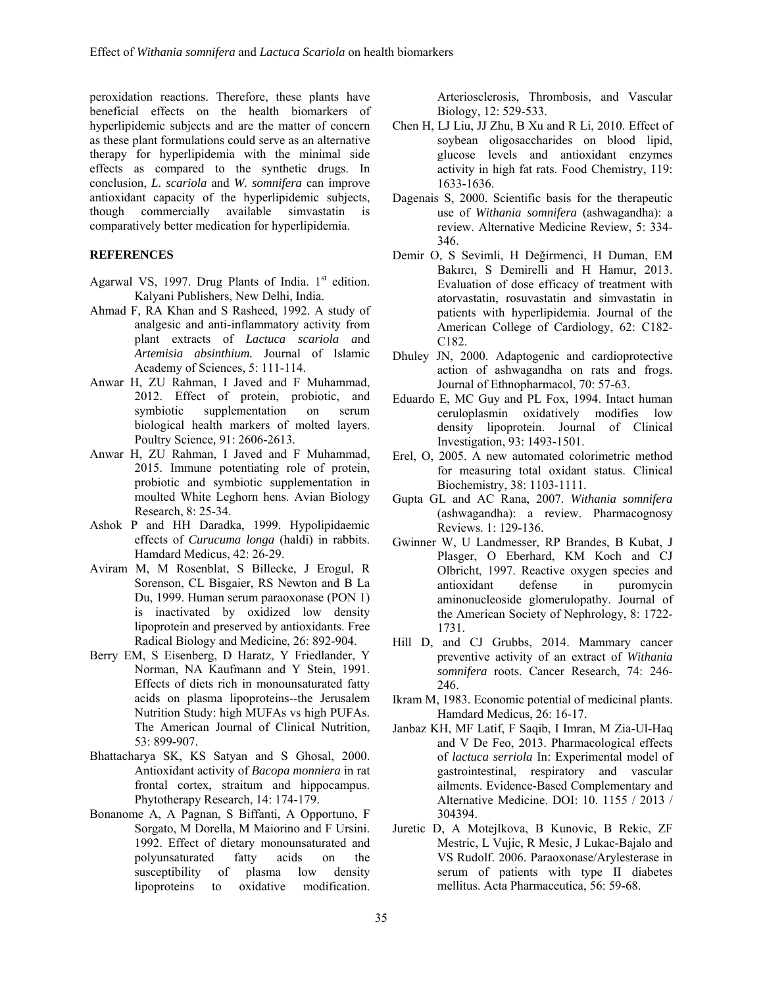peroxidation reactions. Therefore, these plants have beneficial effects on the health biomarkers of hyperlipidemic subjects and are the matter of concern as these plant formulations could serve as an alternative therapy for hyperlipidemia with the minimal side effects as compared to the synthetic drugs. In conclusion, *L. scariola* and *W. somnifera* can improve antioxidant capacity of the hyperlipidemic subjects, though commercially available simvastatin is comparatively better medication for hyperlipidemia.

### **REFERENCES**

- Agarwal VS, 1997. Drug Plants of India.  $1<sup>st</sup>$  edition. Kalyani Publishers, New Delhi, India.
- Ahmad F, RA Khan and S Rasheed, 1992. A study of analgesic and anti-inflammatory activity from plant extracts of *Lactuca scariola a*nd *Artemisia absinthium.* Journal of Islamic Academy of Sciences, 5: 111-114.
- Anwar H, ZU Rahman, I Javed and F Muhammad, 2012. Effect of protein, probiotic, and symbiotic supplementation on serum biological health markers of molted layers. Poultry Science*,* 91: 2606-2613.
- Anwar H, ZU Rahman, I Javed and F Muhammad, 2015. Immune potentiating role of protein, probiotic and symbiotic supplementation in moulted White Leghorn hens. Avian Biology Research, 8: 25-34.
- Ashok P and HH Daradka, 1999. Hypolipidaemic effects of *Curucuma longa* (haldi) in rabbits. Hamdard Medicus, 42: 26-29.
- Aviram M, M Rosenblat, S Billecke, J Erogul, R Sorenson, CL Bisgaier, RS Newton and B La Du, 1999. Human serum paraoxonase (PON 1) is inactivated by oxidized low density lipoprotein and preserved by antioxidants. Free Radical Biology and Medicine, 26: 892-904.
- Berry EM, S Eisenberg, D Haratz, Y Friedlander, Y Norman, NA Kaufmann and Y Stein, 1991. Effects of diets rich in monounsaturated fatty acids on plasma lipoproteins--the Jerusalem Nutrition Study: high MUFAs vs high PUFAs. The American Journal of Clinical Nutrition, 53: 899-907.
- Bhattacharya SK, KS Satyan and S Ghosal, 2000. Antioxidant activity of *Bacopa monniera* in rat frontal cortex, straitum and hippocampus. Phytotherapy Research, 14: 174-179.
- Bonanome A, A Pagnan, S Biffanti, A Opportuno, F Sorgato, M Dorella, M Maiorino and F Ursini. 1992. Effect of dietary monounsaturated and polyunsaturated fatty acids on the susceptibility of plasma low density lipoproteins to oxidative modification.

Arteriosclerosis, Thrombosis, and Vascular Biology, 12: 529-533.

- Chen H, LJ Liu, JJ Zhu, B Xu and R Li, 2010. Effect of soybean oligosaccharides on blood lipid, glucose levels and antioxidant enzymes activity in high fat rats. Food Chemistry, 119: 1633-1636.
- Dagenais S, 2000. Scientific basis for the therapeutic use of *Withania somnifera* (ashwagandha): a review. Alternative Medicine Review, 5: 334- 346.
- Demir O, S Sevimli, H Değirmenci, H Duman, EM Bakırcı, S Demirelli and H Hamur, 2013. Evaluation of dose efficacy of treatment with atorvastatin, rosuvastatin and simvastatin in patients with hyperlipidemia. Journal of the American College of Cardiology, 62: C182- C182.
- Dhuley JN, 2000. Adaptogenic and cardioprotective action of ashwagandha on rats and frogs. Journal of Ethnopharmacol, 70: 57-63.
- Eduardo E, MC Guy and PL Fox, 1994. Intact human ceruloplasmin oxidatively modifies low density lipoprotein. Journal of Clinical Investigation, 93: 1493-1501.
- Erel, O, 2005. A new automated colorimetric method for measuring total oxidant status. Clinical Biochemistry, 38: 1103-1111.
- Gupta GL and AC Rana, 2007. *Withania somnifera* (ashwagandha): a review. Pharmacognosy Reviews. 1: 129-136.
- Gwinner W, U Landmesser, RP Brandes, B Kubat, J Plasger, O Eberhard, KM Koch and CJ Olbricht, 1997. Reactive oxygen species and antioxidant defense in puromycin aminonucleoside glomerulopathy. Journal of the American Society of Nephrology, 8: 1722- 1731.
- Hill D, and CJ Grubbs, 2014. Mammary cancer preventive activity of an extract of *Withania somnifera* roots. Cancer Research, 74: 246- 246.
- Ikram M, 1983. Economic potential of medicinal plants. Hamdard Medicus, 26: 16-17.
- Janbaz KH, MF Latif, F Saqib, I Imran, M Zia-Ul-Haq and V De Feo, 2013. Pharmacological effects of *lactuca serriola* In: Experimental model of gastrointestinal, respiratory and vascular ailments. Evidence-Based Complementary and Alternative Medicine. DOI: 10. 1155 / 2013 / 304394.
- Juretic D, A Motejlkova, B Kunovic, B Rekic, ZF Mestric, L Vujic, R Mesic, J Lukac-Bajalo and VS Rudolf. 2006. Paraoxonase/Arylesterase in serum of patients with type II diabetes mellitus. Acta Pharmaceutica, 56: 59-68.